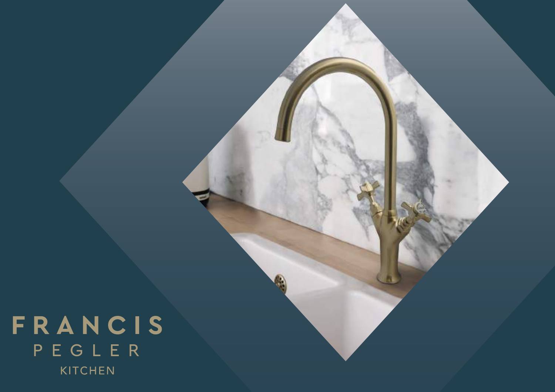FRANCIS PEGLER KITCHEN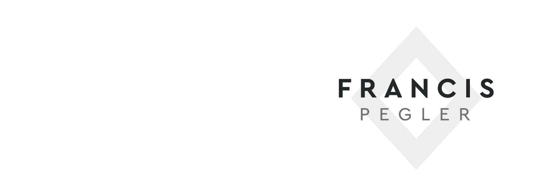# FRANCIS PEGLER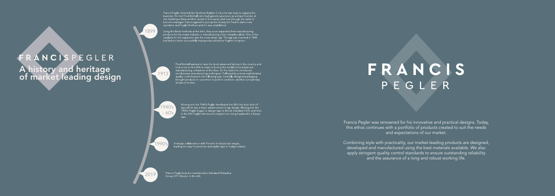FRANCISPEGLER A history and heritage of market leading design Francis Pegler inherited the Northern Rubber Co but he was keen to expand the business. He met Fred Birchall, who had gained experience as a brass founder, at the Hexthrope Brass and Iron works in Doncaster, and rose through the ranks to become manager. Francis agreed to put up the money for Fred to start a new operation and Pegler Brothers and Co was established.

Using the latest methods at the time, they soon expanded from manufacturing products for the steam industry to manufacturing other complex valves. One of the catalysts for this expansion was the screw down tap. The tap was invented in 1845<br>but had not been successfully mass-produced before Pegler's inception.

2019

A design collaboration with Porsche for luxury tap ranges, leading the way for premium and stylish taps in today's market.

Francis Pegler brand is transferred to Standard Hidraulica Group (STH Westco in the UK).

# FRANCIS PEGLER

1990's



Moving into the 1940's Pegler developed the UK's first auto shut off taps which was a major advancement in tap design. Moving into the 1950's Pegler began to design taps to British Standard 1010, and then<br>in the 60's Pegler introduced compact non rising headwork's in luxury

1899

Fred Birchall wanted to have the most advanced factory in the country and took a trip to the USA in order to look at the world's most advanced manufacturing companies of the time. On his return he introduced revolutionary manufacturing techniques. Followed by a more sophisticated quality control system the following year. Carefully designed packaging<br>brought products to customers in perfect condition, another concept way ahead of its time.

1913

Francis Pegler was renowned for his innovative and practical designs. Today, this ethos continues with a portfolio of products created to suit the needs and expectations of our market.

Combining style with practicality, our market-leading products are designed, developed and manufactured using the best materials available. We also apply stringent quality control standards to ensure outstanding reliability and the assurance of a long and robust working life.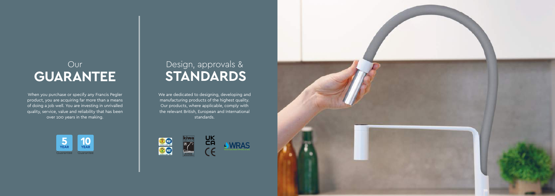### Design, approvals & **STANDARDS**

We are dedicated to designing, developing and manufacturing products of the highest quality. Our products, where applicable, comply with the relevant British, European and International standards.





When you purchase or specify any Francis Pegler product, you are acquiring far more than a means of doing a job well. You are investing in unrivalled quality, service, value and reliability that has been over 100 years in the making.

### Our **GUARANTEE**

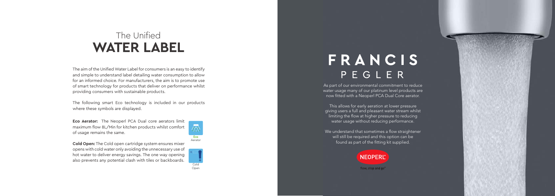### The Unified **WATER LABEL**

The aim of the Unified Water Label for consumers is an easy to identify and simple to understand label detailing water consumption to allow for an informed choice. For manufacturers, the aim is to promote use of smart technology for products that deliver on performance whilst providing consumers with sustainable products.

The following smart Eco technology is included in our products where these symbols are displayed.

**Eco Aerator:** The Neoperl PCA Dual core aerators limit maximum flow 8L/Min for kitchen products whilst comfort of usage remains the same.

**Cold Open:** The Cold open cartridge system ensures mixer opens with cold water only avoiding the unnecessary use of hot water to deliver energy savings. The one way opening also prevents any potential clash with tiles or backboards.

As part of our environmental commitment to reduce water usage many of our platinum level products are now fitted with a Neoperl PCA Dual Core aerator.

This allows for early aeration at lower pressure giving users a full and pleasant water stream whilst limiting the flow at higher pressure to reducing water usage without reducing performance.

We understand that sometimes a flow straightener will still be required and this option can be found as part of the fitting kit supplied.



flow, stop and go<sup>®</sup>





# FRANCIS PEGLER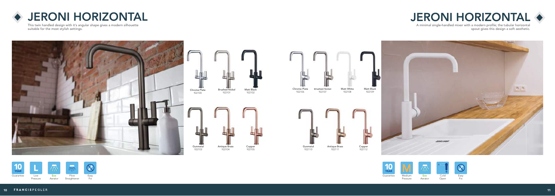

### JERONI HORIZONTAL JERONI HORIZONTAL









This twin handled design with it's angular shape gives a modern silhouette suitable for the most stylish settings.

A minimal single-handled mixer with a modern profile; the tubular horizontal spout gives this design a soft aesthetic.

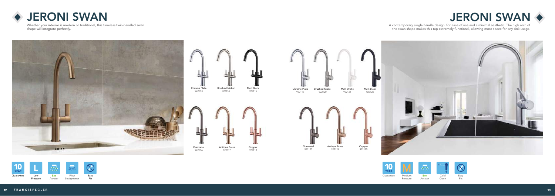### ◆ JERONI SWAN ◆ JERONI SWAN ◆



Whether your interior is modern or traditional, this timeless twin-handled swan shape will integrate perfectly.

A contemporary single handle design, for ease of use and a minimal aesthetic. The high arch of the swan shape makes this tap extremely functional, allowing more space for any sink usage.







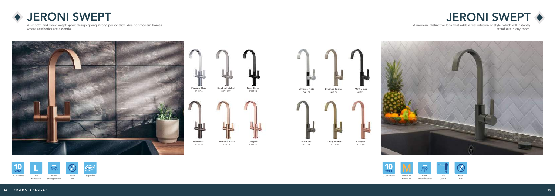### ◆ JERONI SWEPT ◆ → JERONI SWEPT ◆

A smooth and sleek swept spout design giving strong personality, ideal for modern homes where aesthetics are essential.

> Matt Black 922147

A modern, distinctive look that adds a real infusion of style, which will instantly stand out in any room.







Gunmetal 922148

Antique Brass 922149

Copper 922150









Cold Open



Pressure



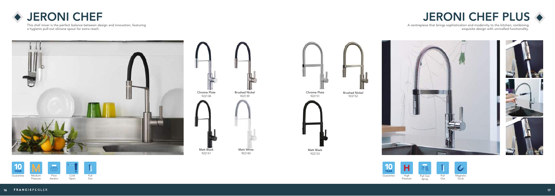

A centrepiece that brings sophistication and modernity to the kitchen; combining exquisite design with unrivalled functionality.







This chef mixer is the perfect balance between design and innovation, featuring a hygienic pull-out silicone spout for extra reach.



Chrome Plate 922151



Matt Black 922153

Brushed Nickel 922152





### **JERONI CHEF DESIGNATION OF A SERONI CHEF PLUS ♦**







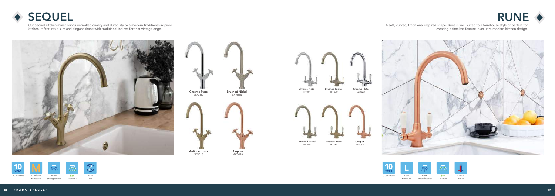A soft, curved, traditional inspired shape. Rune is well suited to a farmhouse style or perfect for creating a timeless feature in an ultra-modern kitchen design.









Our Sequel kitchen mixer brings unrivalled quality and durability to a modern traditional-inspired kitchen. It features a slim and elegant shape with traditional indices for that vintage edge.



Chrome Plate 4K5009 Antique Brass 4K5015 Brushed Nickel 4K5014 Copper 4K5016

19 FRANCISPEGLER 18 FRANCISPEGLER 1999 (1999) (1999) 1999 (1999) (1999) 1999 (1999) 1999 (1999) 1999 (1999) 19







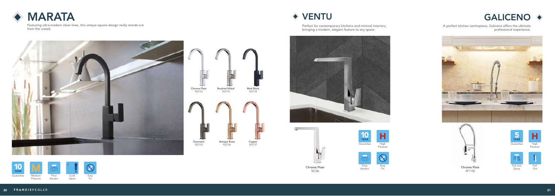



Featuring ultra-modern clean lines, this unique square design really stands out from the crowd.













Chrome Plate 92106











Perfect for contemporary kitchens and minimal interiors, bringing a modern, elegant feature to any space.



A perfect kitchen centrepiece, Galiceno offers the ultimate professional experience.



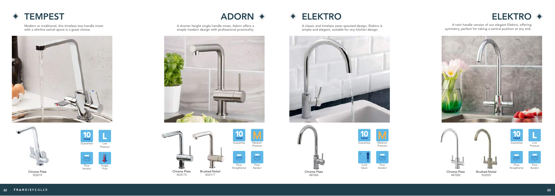





Modern or traditional, this timeless two handle mixer with a slimline swivel spout is a great choice.





Chrome Plate 922019

### TEMPEST ADORN ELEKTRO ELEKTRO

A twin handle version of our elegant Elektro, offering symmetry, perfect for taking a central position at any sink.





A classic and timeless swan spouted design, Elektro is simple and elegant, suitable for any kitchen design.





Chrome Plate 487004



**Flow** Aerator

23 FRANCISPEGLER 23

A shorter height single handle mixer, Adorn offers a simple modern design with professional practicality.

















922025



Pressure









Aerator





Straightener



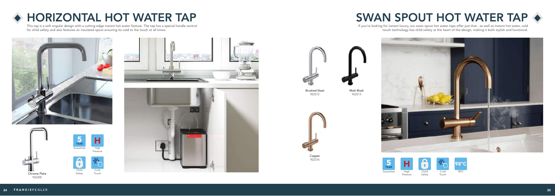







### SWAN SPOUT HOT WATER TAP  $\leftrightarrow$





### HORIZONTAL HOT WATER TAP

This tap is a soft angular design with a cutting edge instant hot water feature. The tap has a special handle control for child safety and also features an insulated spout ensuring its cold to the touch at all times.



If you're looking for instant luxury, our swan spout hot water taps offer just that - as well as instant hot water, cold touch technology has child safety at the heart of the design, making it both stylish and functional.





Brushed Steel 922212



Copper 922216



Matt Black 922213



Touch



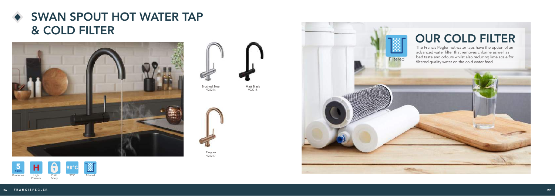### SWAN SPOUT HOT WATER TAP & COLD FILTER







Brushed Steel 922214

> Copper 922217

The Francis Pegler hot water taps have the option of an advanced water filter that removes chlorine as well as bad taste and odours whilst also reducing lime scale for Filtered bad taste and odours whilst also reducing lim<br>filtered quality water on the cold water feed.

Matt Black 922215





## OUR COLD FILTER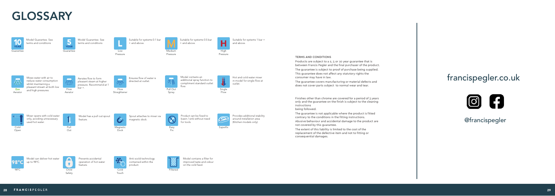### TERMS AND CONDITIONS

Products are subject to a 2, 5 or 10 year guarantee that is between Francis Pegler and the final purchaser of the product. The guarantee is subject to proof of purchase being supplied. This guarantee does not affect any statutory rights the

Finishes other than chrome are covered for a period of 3 years only and the guarantee on the finish is subject to the cleaning instructions

consumer may have in law.

The guarantee covers manufacturing or material defects and does not cover parts subject to normal wear and tear.

Easy **Fix** 

**Child** Safety

 $\mathbf \Omega$ 

being followed.

**Flow** Straightener

 $\frac{1}{\sqrt{2}}$ 

**Cold** Open

**Flow** Aerator

The guarantee is not applicable where the product is fitted contrary to the conditions in the fitting instructions.

Abusive behaviour and accidental damage to the product are not covered by this guarantee.

Mixes water with air to reduce water consumption whilst maintaining a pleasant stream at both low and high pressures

> The extent of this liability is limited to the cost of the replacement of the defective item and not to fitting or consequential damages.

Pull Superx

**Magnetic Dock** 

Out

Pressure

Medium Pressure

High Pressure

н



Pull Out Spray

### GLOSSARY

| 10<br><b>YEAR</b> | Model Guarantee, See<br>terms and conditions | <b>YEAR</b> | Model Guarantee, See<br>terms and conditions |               |
|-------------------|----------------------------------------------|-------------|----------------------------------------------|---------------|
| Guarantee         |                                              | Guarantee   |                                              | LOW<br>Pressu |





Touch

@francispegler

**98°C** up to 98°C.

### francispegler.co.uk



Suitable for systems 0.1 bar

+ and above.

Suitable for systems 0.5 bar

+ and above.

Suitable for systems 1 bar +

and above.





Aerates flow to form pleasant steam at higher pressure. Recommend at 1 bar +.

Mixer opens with cold water only, avoiding unnecessary used hot water.

Anti scold technology contained within the product.

Product can be fixed to basin / sink without need for tools.

|--|

**Flow** 

Provides additional stability around installation area (Kitchen models only).

Model has a pull out spout feature.

Prevents accidental operation of hot water feature.

Hot and cold water mixer in model for single flow at outlet.

Model contains an additional spray function to compliment standard outlet flow.

Model contains a filter for improved taste and odour on the cold feed.

Spout attaches to mixer via magnetic dock.

 $\mathcal{S}% _{M_{1},M_{2}}^{\alpha,\beta}(\varepsilon)$ 

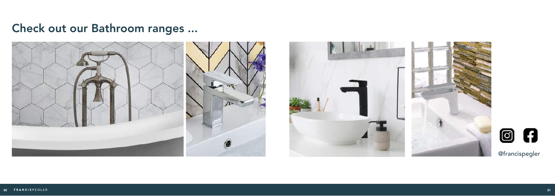@francispegler

### Check out our Bathroom ranges ...







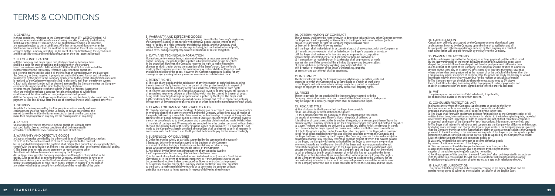### 1. GENERAL

In these conditions, reference to the Company shall mean STH WESTCO Limited. All previous terms and conditions of sale are hereby cancelled, and only the following shall have effect from 1st January 2012. All quotations are made, and all orders are accepted subject to these conditions. All other terms, conditions or warranties whatsoever are excluded from the contract or any variation thereof unless expressly accepted by the Company in writing. In the event of a conflict between these conditions and the specific terms and conditions of quotation then the latter shall prevail.

### 2. ELECTRONIC TRADING

a) If the Company and Buyer agree that electronic trading between them shall be a basis for order processing and invoicing then the Standard Interchange Agreement (1st Edition March 1989) of the EDI Association shall be incorporated into the contract by reference subject to these conditions. b) Electronic orders shall be valid if all the information agreed between the Buyer and the Company as being required is properly set out in the agreed format and the order is transmitted by the Buyer to the Company by reference to the correct identification code and is received by the Company when collecting its electronic mail from the relevant system. c) Each valid electronic order will be deemed accepted by the Company unless the Company communicates rejection of the order to the Buyer by electronic or other means (including telephone) within 24 hours of receipt. Acceptance of an order shall constitute a contract for sale and purchase to which these conditions and the Standard Interchange Agreement shall prevail. d) If the Company and the Buyer agree that invoicing may be done by electronic mail, then payment will be due 30 days after the date of electronic invoice unless agreed otherwise.

### 3. DELIVERY

Any date for delivery named by the Company is an estimate only and in no circumstances shall the failure of the Company to deliver on or before the named date either entitle the Buyer to rescind or terminate the contract or make the Company liable in any way for the consequences of any delay.

### 4. EXPORT

a) The sale of any goods and the publication of any information or technical data relating thereto does not imply freedom from the patent or other protective rights in respect of their application and the Company accepts no liability for infringement of such rights b) The Buyer shall indemnify the Company against all royalties or other payments in respect of any patent, registered designs or other rights which may be claimed as a result of goods being made according to design or specification supplied by the Buyer. The Buyer shall further indemnify the Company against all claims, expense and costs in connection with any infringement of any patent or registered design or other right in the manufacture of such goods.

Unless specifically stated otherwise in these conditions all trade terms not specifically covered by these conditions shall be interpreted in accordance with INCOTERMS current on the date of that order.

### 5. WARRANTY AND DEFECTIVE GOODS

a) Save as otherwise provided by the other conditions of these Conditions, sections 12 to 15 of the Sale of Goods Act 1979 are to be implied into this contract. b) The goods delivered under the Contract shall, where the Contract includes a specification, comply with the specification or, if there is no specification, shall be of normal industrial quality. c) The Buyer does not rely on any statement or representations other than those which have been made in writing by the Company. d) The Buyer must give the Company immediate written notice of any defect in the goods. Such goods shall be returned to the Company, and if proved to have been defective at delivery as a result of faulty materials or workmanship, the Company shall at its option replace or repair such goods. Defects in quality or dimension in any delivery shall not be ground for cancellation of the remainder of the order.

### 5. WARRANTY AND DEFECTIVE GOODS

e) Save for any liability for death or personal injury caused by the Company's negligence, the Company's liability in connection with defective goods shall be limited to the repair or supply of a replacement for the defective goods, and the Company shall not be liable for any other loss or damage including, but not limited to loss of profit, labour costs, damage to property, wasted expenditure or cost of mitigation.

a) If the Buyer shall make default in or commit a breach of any contract with the Company; or b) If any distress or execution shall be levied upon the Buyer's property or assets; or c) If the Buyer shall make or offer to make any arrangements or composition with creditors, or commit any act of bankruptcy or become insolvent; or d) If any petition or receiving order in bankruptcy shall be presented or made against him; ore) If the buyer shall be a limited Company and become subject of any resolution or petition for winding up or administration; or e) If a receiver or manager of the Buyer's undertaking, property

### 6. DATA AND TECHNICAL INFORMATION

Illustrations, reference numbers, statement of weights or measures are not binding on the Company. The goods will be supplied substantially to the design described in the quotation. However, the Company reserves the right to make reasonable changes at his discretion during the execution of the Buyer's order. Every effort is made by the Company to ensure the accuracy of any technical data or literature made available in relation to the goods. However, the Company accepts no liability for any damage or injury arising from any errors or omissions in such technical data.

### 7. PATENT RIGHTS

### 8. CLAIMS FOR DAMAGE, SHORTAGE OR LOSS

No claim for damage in transit or shortage of delivery can be accepted unless, a separate notice in writing is given to the carrier concerned and to the Company within three days of receipt of the goods, followed by a complete claim in writing within five days of receipt of the goods. No claim for loss of goods in transit can be accepted unless a separate notice in writing is given to the carrier concerned and to the Company, and a complete claim in writing made within 3 days of the date of consignment. Where goods are accepted from the carrier concerned without being checked, the delivery book of the carrier must be signed "not examined". If a complaint is not made to the Company as herein provided, the products shall be deemed to be in all respects in accordance with the Contract, and the Buyer shall be bound to pay for the same accordingly.

### 9. SUSPENSION OF DELIVERIES

a) Deliveries may be wholly or partially suspended by the company in the event of: i. Stoppage, delay or interruption caused to the business of the Company as a result of strikes, lockouts, trade disputes, breakdown, accident or any cause whatsoever beyond the reasonable control of the Company. ii. Any default by the Buyer in making payment of any amounts owed to the Company under this and any other contracts between them. b) In the event of any hostilities (whether war is declared or not) in which Great Britain is involved, or in the event of national emergency, or if the Company's works should become either directly or indirectly engaged on Government orders as to prevent or delay work on other orders, the Company shall be entitled at any time, on notice to the Buyer, to make partial deliveries only or to determine the contract without to the Buyer, to make partial deliveries only or to determine the contract without prejudice in any case to rights accrued in respect of deliveries already made.

iii. Was only rendered the defective part or became defective goods by reason of instructions or warnings given or omitted by the Buyer or other supplier of the said composite goods supplied hereunder.

This contract shall be governed and construed according to the Law of England and the parties hereby agree to submit to the exclusive jurisdiction of the English court.

### TERMS & CONDITIONS

### 10. DETERMINATION OF CONTRACT

The Company shall have the right forthwith to determine this and/or any other Contract between the Buyer and the Company by written notice to the Buyer's last known address (without prejudice to any claim or right the Company might otherwise make or exercise) in any of the following events:-

or assets or any part thereof shall be appointed.

### 11. INDEMNITY

The Buyer will indemnify the Company against all damages, penalties, costs and expenses to which the Company may become liable as a result of work done to the Buyer's instructions or which infringe any letters, patent or registered design or copyright or any other third-party intellectual property rights.

### 12. PRICES

The price payable for the goods shall be those previously agreed with the Company unless otherwise stated and current at the date of despatch. Such prices may be subject to a delivery charge which shall be levied to the Buyer.

### 13. RISK AND TITLE

a) Risk shall pass to the Buyer so that the Buyer is responsible

for all loss, damage or deterioration to the goods:

i. If the Company delivers the goods by its own transport at the time when the goods or a relevant part thereof arrive at the place of delivery; or

ii. In all other circumstances at the time when the goods, or a relevant part thereof leave the premises of the Company whether or not the Company arranges transport and (without prejudice to clause 7) where the goods are delivered by carrier, any claims for loss or damage in transit must be made by the Buyer against the carrier in accordance with the carrier's conditions. b) Title to the goods supplied under the contract shall only pass to the Buyer when payment in full for all goods supplied under this and all other contracts between the Company and the Buyer has been received by the Company. The Company reserves the immediate right to possession of and at any time may recover all goods in respect of which title has not passed to the Buyer; the Company is hereby authorised by the Buyer to enter upon any premises where such goods are held by or on behalf of the Buyer and recover possession thereof. c) Until title to goods has been passed to the Buyer pursuant to these conditions it shall possess the goods as a Bailee at will of the Company, and the Buyer shall not be entitled to sell or otherwise deal in goods in respect of which title has not passed to the Buyer. If the Buyer acts in breach of these conditions then without prejudice to any other rights of the Company the Buyer shall have a fiduciary duty to account to the Company for the proceeds of any sale save to the extent that any such proceeds exceed the amounts owed to the Company under this and all other contracts between the Company and the Buyer.

### 14. CANCELLATION

Cancellation will only be accepted by the Company on condition that all costs and expenses incurred by the Company up to the time of cancellation and all loss of profits and other loss or damage suffered by the Company as a result of such cancellation will be paid forthwith by the Buyer to the Company.

### 15. PAYMENT OF ACCOUNTS

a) Unless otherwise agreed by the Company in writing, payment shall be settled in full by the last working day of the month following the month in which the goods were despatched, or would have been despatched save for postponement otherwise than due to default on the part of the Company. The Company shall be entitled to submit its invoice on the same day as its delivery advice note or at any time thereafter, save that where delivery has been postponed at the request of or the default of the Buyer, then the Company may submit its invoice at any time after the goods are ready for delivery or would have been ready in the ordinary course but for the request or default as aforesaid. b) The Company reserves the right to charge interest at a rate up to 5% above Lloyds Bank Base Lending Rate ruling at the time payment is due if payment is not made in accordance with the terms agreed at the time the order is accepted.

### 16. VAT

The prices quoted are exclusive of VAT, which will, if applicable, be added to the invoice at the rate then current.

### 17. CONSUMER PROTECTION ACT

In circumstances where the Company supplies parts or goods to the Buyer for incorporation with, or use ancillary to, any composite goods to be produced, manufactured, processed or supplied by the Buyer then: a) The Buyer shall forthwith on demand produce for inspection by the Company copies of all written instructions, information and warnings in relation to the said composite goods, provided nevertheless that such inspection or right to inspect shall not of itself constitute acceptance or approval on the part of the Company of such instructions, information, or warnings; and b) The Buver shall indemnify, reimburse and compensate the Company for all losses and damages (including costs, expenses and charges for legal actions in which the Company may be involved) that the Company may incur in the event that any claim or claims are made against the Company pursuant to the Act relating to the said composite goods of the Buyer or parts or goods supplied hereunder in circumstances in which the parts or goods supplied by the Company was either: i. Not the defective part of the said composite goods; or

ii. Was only rendered the defective part or became defective goods

by reason of actions or omission of the Buyer; or

c) For the purposes of this condition the word "defective" shall be interpreted in accordance with the definition contained in the Act and this condition shall mutatis mutandis apply in relation to equivalent legislation of other states as it applies in relation to the Act.

### 18. LAW AND JURISDICTION